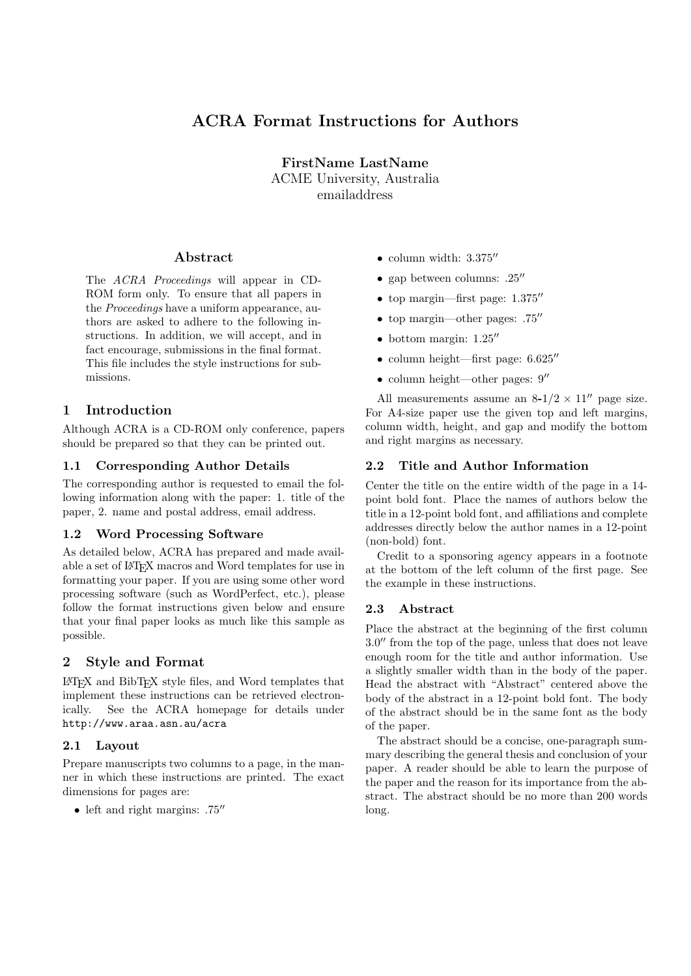# ACRA Format Instructions for Authors

FirstName LastName ACME University, Australia

emailaddress

# Abstract

The ACRA Proceedings will appear in CD-ROM form only. To ensure that all papers in the Proceedings have a uniform appearance, authors are asked to adhere to the following instructions. In addition, we will accept, and in fact encourage, submissions in the final format. This file includes the style instructions for submissions.

# 1 Introduction

Although ACRA is a CD-ROM only conference, papers should be prepared so that they can be printed out.

# 1.1 Corresponding Author Details

The corresponding author is requested to email the following information along with the paper: 1. title of the paper, 2. name and postal address, email address.

## 1.2 Word Processing Software

As detailed below, ACRA has prepared and made available a set of LATEX macros and Word templates for use in formatting your paper. If you are using some other word processing software (such as WordPerfect, etc.), please follow the format instructions given below and ensure that your final paper looks as much like this sample as possible.

# 2 Style and Format

LATEX and BibTEX style files, and Word templates that implement these instructions can be retrieved electronically. See the ACRA homepage for details under http://www.araa.asn.au/acra

## 2.1 Layout

Prepare manuscripts two columns to a page, in the manner in which these instructions are printed. The exact dimensions for pages are:

• left and right margins:  $.75$ <sup>"</sup>

- column width:  $3.375''$
- gap between columns:  $.25$ <sup>"</sup>
- top margin—first page:  $1.375$
- top margin—other pages:  $.75$ <sup>"</sup>
- $\bullet$  bottom margin: 1.25"
- column height—first page:  $6.625$ "
- column height—other pages:  $9''$

All measurements assume an  $8-1/2 \times 11''$  page size. For A4-size paper use the given top and left margins, column width, height, and gap and modify the bottom and right margins as necessary.

# 2.2 Title and Author Information

Center the title on the entire width of the page in a 14 point bold font. Place the names of authors below the title in a 12-point bold font, and affiliations and complete addresses directly below the author names in a 12-point (non-bold) font.

Credit to a sponsoring agency appears in a footnote at the bottom of the left column of the first page. See the example in these instructions.

## 2.3 Abstract

Place the abstract at the beginning of the first column 3.0" from the top of the page, unless that does not leave enough room for the title and author information. Use a slightly smaller width than in the body of the paper. Head the abstract with "Abstract" centered above the body of the abstract in a 12-point bold font. The body of the abstract should be in the same font as the body of the paper.

The abstract should be a concise, one-paragraph summary describing the general thesis and conclusion of your paper. A reader should be able to learn the purpose of the paper and the reason for its importance from the abstract. The abstract should be no more than 200 words long.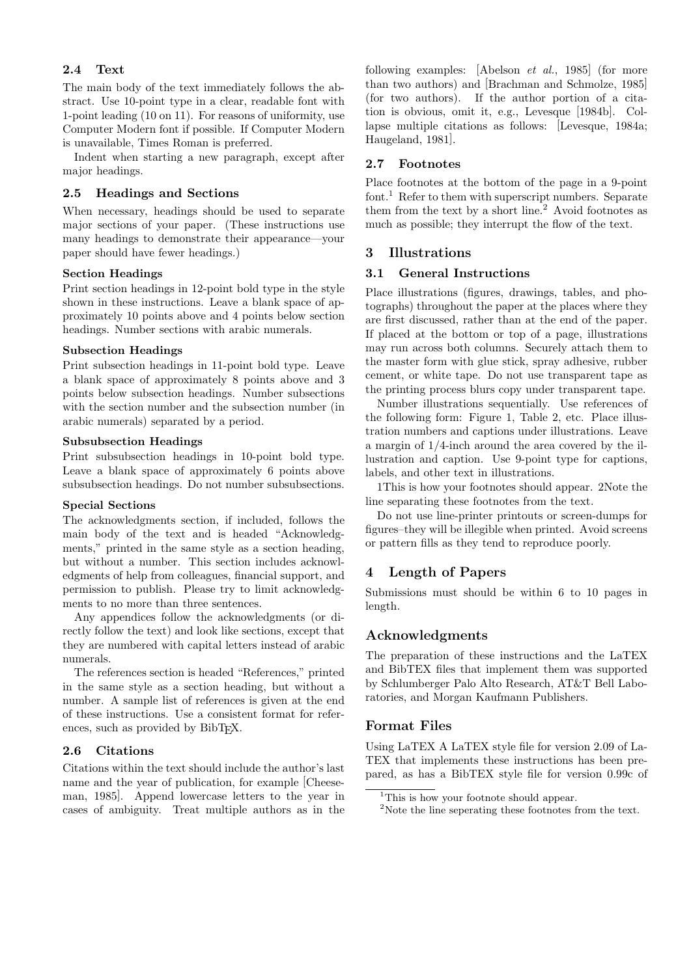# 2.4 Text

The main body of the text immediately follows the abstract. Use 10-point type in a clear, readable font with 1-point leading (10 on 11). For reasons of uniformity, use Computer Modern font if possible. If Computer Modern is unavailable, Times Roman is preferred.

Indent when starting a new paragraph, except after major headings.

#### 2.5 Headings and Sections

When necessary, headings should be used to separate major sections of your paper. (These instructions use many headings to demonstrate their appearance—your paper should have fewer headings.)

#### Section Headings

Print section headings in 12-point bold type in the style shown in these instructions. Leave a blank space of approximately 10 points above and 4 points below section headings. Number sections with arabic numerals.

#### Subsection Headings

Print subsection headings in 11-point bold type. Leave a blank space of approximately 8 points above and 3 points below subsection headings. Number subsections with the section number and the subsection number (in arabic numerals) separated by a period.

#### Subsubsection Headings

Print subsubsection headings in 10-point bold type. Leave a blank space of approximately 6 points above subsubsection headings. Do not number subsubsections.

#### Special Sections

The acknowledgments section, if included, follows the main body of the text and is headed "Acknowledgments," printed in the same style as a section heading, but without a number. This section includes acknowledgments of help from colleagues, financial support, and permission to publish. Please try to limit acknowledgments to no more than three sentences.

Any appendices follow the acknowledgments (or directly follow the text) and look like sections, except that they are numbered with capital letters instead of arabic numerals.

The references section is headed "References," printed in the same style as a section heading, but without a number. A sample list of references is given at the end of these instructions. Use a consistent format for references, such as provided by BibT<sub>E</sub>X.

#### 2.6 Citations

Citations within the text should include the author's last name and the year of publication, for example [Cheeseman, 1985]. Append lowercase letters to the year in cases of ambiguity. Treat multiple authors as in the following examples: [Abelson et al., 1985] (for more than two authors) and [Brachman and Schmolze, 1985] (for two authors). If the author portion of a citation is obvious, omit it, e.g., Levesque [1984b]. Collapse multiple citations as follows: [Levesque, 1984a; Haugeland, 1981].

#### 2.7 Footnotes

Place footnotes at the bottom of the page in a 9-point font.<sup>1</sup> Refer to them with superscript numbers. Separate them from the text by a short line.<sup>2</sup> Avoid footnotes as much as possible; they interrupt the flow of the text.

#### 3 Illustrations

# 3.1 General Instructions

Place illustrations (figures, drawings, tables, and photographs) throughout the paper at the places where they are first discussed, rather than at the end of the paper. If placed at the bottom or top of a page, illustrations may run across both columns. Securely attach them to the master form with glue stick, spray adhesive, rubber cement, or white tape. Do not use transparent tape as the printing process blurs copy under transparent tape.

Number illustrations sequentially. Use references of the following form: Figure 1, Table 2, etc. Place illustration numbers and captions under illustrations. Leave a margin of 1/4-inch around the area covered by the illustration and caption. Use 9-point type for captions, labels, and other text in illustrations.

1This is how your footnotes should appear. 2Note the line separating these footnotes from the text.

Do not use line-printer printouts or screen-dumps for figures–they will be illegible when printed. Avoid screens or pattern fills as they tend to reproduce poorly.

## 4 Length of Papers

Submissions must should be within 6 to 10 pages in length.

#### Acknowledgments

The preparation of these instructions and the LaTEX and BibTEX files that implement them was supported by Schlumberger Palo Alto Research, AT&T Bell Laboratories, and Morgan Kaufmann Publishers.

#### Format Files

Using LaTEX A LaTEX style file for version 2.09 of La-TEX that implements these instructions has been prepared, as has a BibTEX style file for version 0.99c of

<sup>&</sup>lt;sup>1</sup>This is how your footnote should appear.

 $2$ Note the line seperating these footnotes from the text.